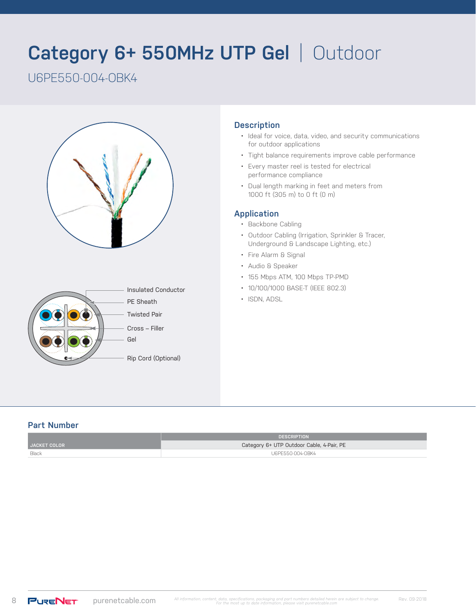# **Category 6+ 550MHz UTP Gel** | Outdoor

# U6PE550-004-OBK4





#### **Description**

- Ideal for voice, data, video, and security communications for outdoor applications
- Tight balance requirements improve cable performance
- Every master reel is tested for electrical performance compliance
- Dual length marking in feet and meters from 1000 ft (305 m) to 0 ft (0 m)

#### **Application**

- Backbone Cabling
- Outdoor Cabling (Irrigation, Sprinkler & Tracer, Underground & Landscape Lighting, etc.)
- Fire Alarm & Signal
- Audio & Speaker
- 155 Mbps ATM, 100 Mbps TP-PMD
- 10/100/1000 BASE-T (IEEE 802.3)
- ISDN, ADSL

#### **Part Number**

|                     | <b>DESCRIPTION</b>                        |  |
|---------------------|-------------------------------------------|--|
| <b>JACKET COLOR</b> | Category 6+ UTP Outdoor Cable, 4-Pair, PE |  |
| Black               | U6PE550-004-0BK4                          |  |